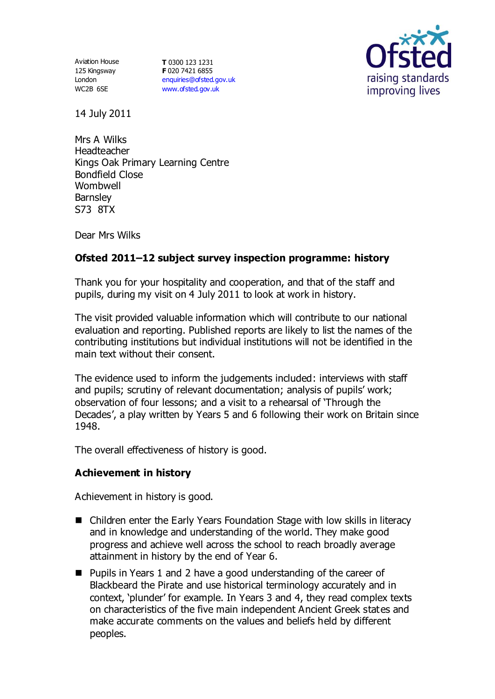Aviation House 125 Kingsway London WC2B 6SE

**T** 0300 123 1231 **F** 020 7421 6855 [enquiries@ofsted.gov.uk](mailto:enquiries@ofsted.gov.uk) [www.ofsted.gov.uk](http://www.ofsted.gov.uk/)



14 July 2011

Mrs A Wilks Headteacher Kings Oak Primary Learning Centre Bondfield Close Wombwell **Barnsley** S73 8TX

Dear Mrs Wilks

# **Ofsted 2011–12 subject survey inspection programme: history**

Thank you for your hospitality and cooperation, and that of the staff and pupils, during my visit on 4 July 2011 to look at work in history.

The visit provided valuable information which will contribute to our national evaluation and reporting. Published reports are likely to list the names of the contributing institutions but individual institutions will not be identified in the main text without their consent.

The evidence used to inform the judgements included: interviews with staff and pupils; scrutiny of relevant documentation; analysis of pupils' work; observation of four lessons; and a visit to a rehearsal of 'Through the Decades', a play written by Years 5 and 6 following their work on Britain since 1948.

The overall effectiveness of history is good.

### **Achievement in history**

Achievement in history is good.

- Children enter the Early Years Foundation Stage with low skills in literacy and in knowledge and understanding of the world. They make good progress and achieve well across the school to reach broadly average attainment in history by the end of Year 6.
- Pupils in Years 1 and 2 have a good understanding of the career of Blackbeard the Pirate and use historical terminology accurately and in context, 'plunder' for example. In Years 3 and 4, they read complex texts on characteristics of the five main independent Ancient Greek states and make accurate comments on the values and beliefs held by different peoples.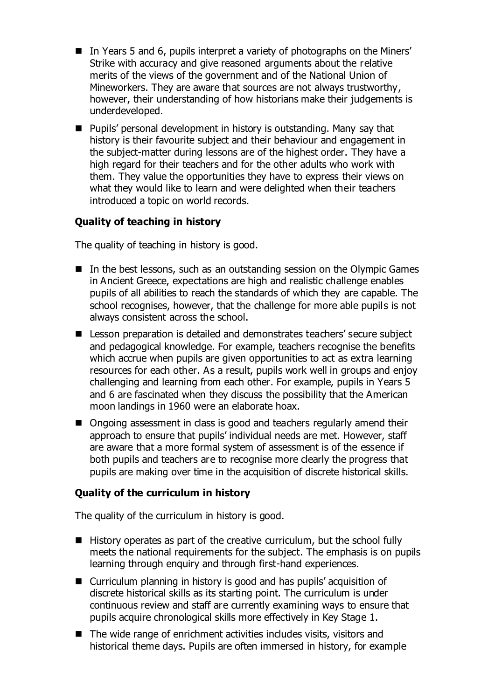- In Years 5 and 6, pupils interpret a variety of photographs on the Miners' Strike with accuracy and give reasoned arguments about the relative merits of the views of the government and of the National Union of Mineworkers. They are aware that sources are not always trustworthy, however, their understanding of how historians make their judgements is underdeveloped.
- Pupils' personal development in history is outstanding. Many say that history is their favourite subject and their behaviour and engagement in the subject-matter during lessons are of the highest order. They have a high regard for their teachers and for the other adults who work with them. They value the opportunities they have to express their views on what they would like to learn and were delighted when their teachers introduced a topic on world records.

# **Quality of teaching in history**

The quality of teaching in history is good.

- In the best lessons, such as an outstanding session on the Olympic Games in Ancient Greece, expectations are high and realistic challenge enables pupils of all abilities to reach the standards of which they are capable. The school recognises, however, that the challenge for more able pupils is not always consistent across the school.
- Lesson preparation is detailed and demonstrates teachers' secure subject and pedagogical knowledge. For example, teachers recognise the benefits which accrue when pupils are given opportunities to act as extra learning resources for each other. As a result, pupils work well in groups and enjoy challenging and learning from each other. For example, pupils in Years 5 and 6 are fascinated when they discuss the possibility that the American moon landings in 1960 were an elaborate hoax.
- Ongoing assessment in class is good and teachers regularly amend their approach to ensure that pupils' individual needs are met. However, staff are aware that a more formal system of assessment is of the essence if both pupils and teachers are to recognise more clearly the progress that pupils are making over time in the acquisition of discrete historical skills.

### **Quality of the curriculum in history**

The quality of the curriculum in history is good.

- $\blacksquare$  History operates as part of the creative curriculum, but the school fully meets the national requirements for the subject. The emphasis is on pupils learning through enquiry and through first-hand experiences.
- Curriculum planning in history is good and has pupils' acquisition of discrete historical skills as its starting point. The curriculum is under continuous review and staff are currently examining ways to ensure that pupils acquire chronological skills more effectively in Key Stage 1.
- $\blacksquare$  The wide range of enrichment activities includes visits, visitors and historical theme days. Pupils are often immersed in history, for example